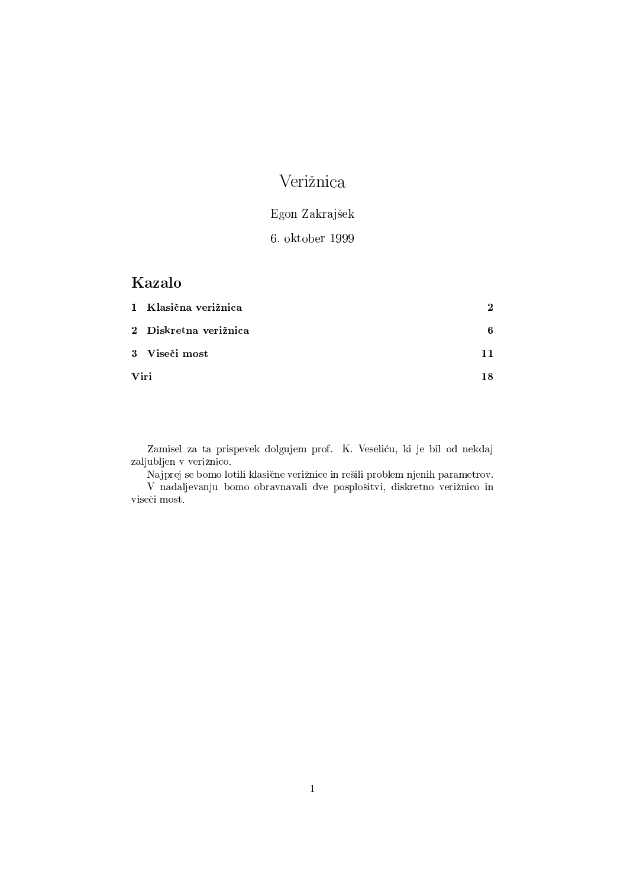## Verižnica

# Egon Zakrajšek

### 6. oktober 1999

### Kazalo

|      | 1 Klasična verižnica  | 2   |
|------|-----------------------|-----|
|      | 2 Diskretna verižnica | 6   |
|      | 3 Viseči most         | 11  |
| Viri |                       | 18. |

Zamisel za ta prispevek dolgujem prof. K. Veseliću, ki je bil od nekdaj zaljubljen v verižnico.

Najprej se bomo lotili klasične verižnice in rešili problem njenih parametrov. V nadaljevanju bomo obravnavali dve posplošitvi, diskretno verižnico in viseči most.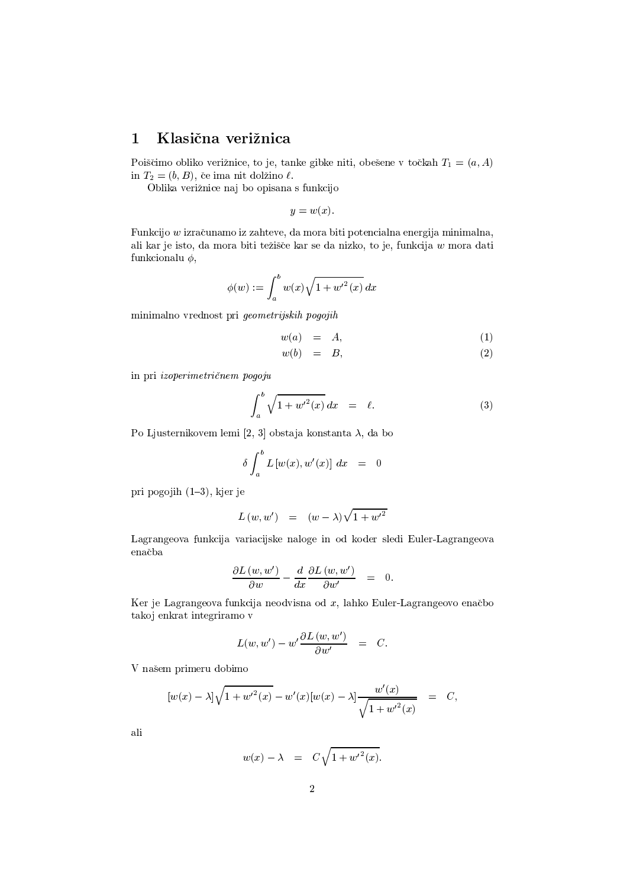#### Klasična verižnica  $\mathbf{1}$

Poiščimo obliko verižnice, to je, tanke gibke niti, obešene v točkah  $T_1 = (a, A)$ in  $T_2 = (b, B)$ , če ima nit dolžino  $\ell$ .

Oblika verižnice naj bo opisana s funkcijo

$$
y = w(x).
$$

Funkcijo w izračunamo iz zahteve, da mora biti potencialna energija minimalna, ali kar je isto, da mora biti težišče kar se da nizko, to je, funkcija w mora dati funkcionalu  $\phi$ ,

$$
\phi(w) := \int_a^b w(x) \sqrt{1 + w'^2(x)} \, dx
$$

minimalno vrednost pri geometrijskih pogojih

$$
w(a) = A,\t\t(1)
$$

$$
w(b) = B, \t\t(2)
$$

in pri izoperimetričnem pogoju

$$
\int_{a}^{b} \sqrt{1 + {w'}^2(x)} dx = \ell.
$$
 (3)

Po Ljusternikovem lemi [2, 3] obstaja konstanta  $\lambda$ , da bo

$$
\delta \int_a^b L\left[w(x), w'(x)\right] dx = 0
$$

pri pogojih  $(1-3)$ , kjer je

$$
L(w, w') = (w - \lambda)\sqrt{1 + {w'}^2}
$$

Lagrangeova funkcija variacijske naloge in od koder sledi Euler-Lagrangeova enačba

$$
\frac{\partial L(w, w')}{\partial w} - \frac{d}{dx} \frac{\partial L(w, w')}{\partial w'} = 0.
$$

Ker je Lagrangeova funkcija neodvisna od  $x$ , lahko Euler-Lagrangeovo enačbo takoj enkrat integriramo v

$$
L(w, w') - w' \frac{\partial L(w, w')}{\partial w'} = C.
$$

V našem primeru dobimo

$$
[w(x) - \lambda] \sqrt{1 + w'^2(x)} - w'(x) [w(x) - \lambda] \frac{w'(x)}{\sqrt{1 + w'^2(x)}} = C,
$$

$$
w(x) - \lambda = C\sqrt{1 + {w'}^2(x)}.
$$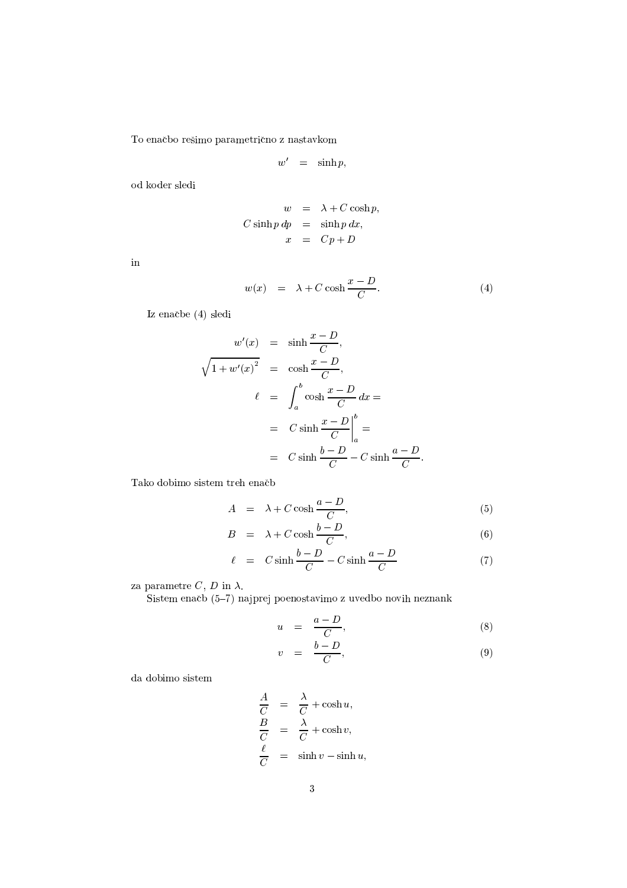${\rm To}$ enačbo rešimo parametrično z nastavkom

$$
w' \quad = \quad \sinh p,
$$

od koder sledi

$$
w = \lambda + C \cosh p,
$$
  
\n
$$
C \sinh p \, dp = \sinh p \, dx,
$$
  
\n
$$
x = Cp + D
$$

:Q

$$
w(x) = \lambda + C \cosh \frac{x - D}{C}.
$$
 (4)

Iz enačbe (4) sledi

$$
w'(x) = \sinh \frac{x - D}{C},
$$
  

$$
\sqrt{1 + w'(x)^2} = \cosh \frac{x - D}{C},
$$
  

$$
\ell = \int_a^b \cosh \frac{x - D}{C} dx =
$$
  

$$
= C \sinh \frac{x - D}{C} \Big|_a^b =
$$
  

$$
= C \sinh \frac{b - D}{C} - C \sinh \frac{a - D}{C}.
$$

Tako dobimo sistem treh enačb

$$
A = \lambda + C \cosh \frac{a - D}{C}, \tag{5}
$$

$$
B = \lambda + C \cosh \frac{b - D}{C}, \tag{6}
$$

$$
\ell = C \sinh \frac{b - D}{C} - C \sinh \frac{a - D}{C} \tag{7}
$$

 $\alpha$   $\alpha$   $\beta$  :  $\alpha$ 

 $\mathrm{Sistem}$  enačh  $(5-7)$  najprej poenostavimo z uvedbo novih neznank

$$
u = \frac{a - D}{C}, \tag{8}
$$

$$
v = \frac{b - D}{C}, \tag{9}
$$

da dobimo sistem

$$
\frac{A}{C} = \frac{\lambda}{C} + \cosh u,
$$
\n
$$
\frac{B}{C} = \frac{\lambda}{C} + \cosh v,
$$
\n
$$
\frac{\ell}{C} = \sinh v - \sinh u,
$$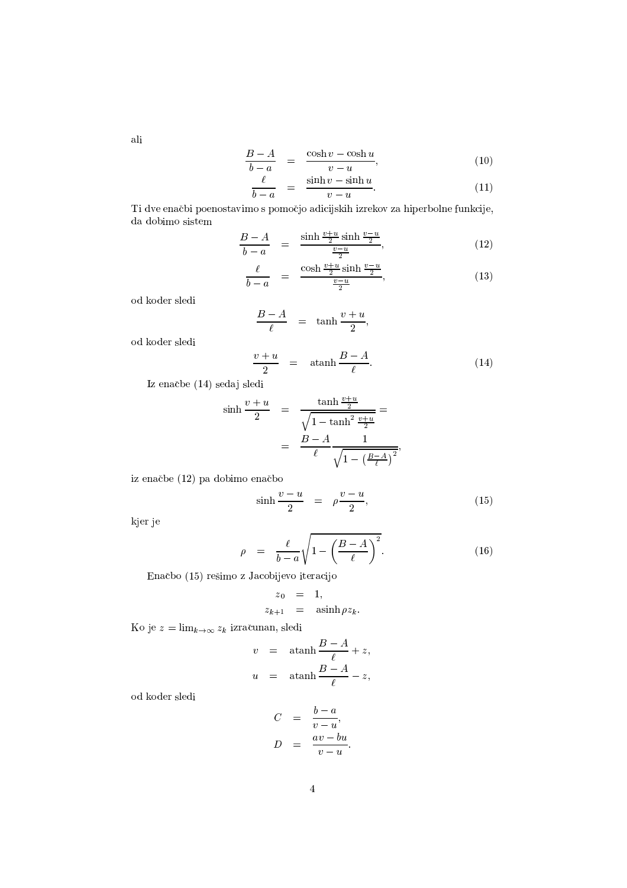$$
\frac{B-A}{b-a} = \frac{\cosh v - \cosh u}{v-u}, \tag{10}
$$

$$
\frac{\ell}{b-a} = \frac{\sinh v - \sinh u}{v - u}.
$$
\n(11)

Ti dve enačbi poenostavimo s pomočjo adicijskih izrekov za hiperbolne funkcije, da dobimo sistem $\,$ 

$$
\frac{B-A}{b-a} = \frac{\sinh \frac{v+u}{2} \sinh \frac{v-u}{2}}{\frac{v-u}{2}},
$$
\n(12)

$$
\frac{\ell}{b-a} = \frac{\cosh \frac{v+u}{2} \sinh \frac{v-u}{2}}{\frac{v-u}{2}},\tag{13}
$$

 $\,$ od koder $\,$ sledi $\,$ 

$$
\frac{B-A}{\ell} = \tanh \frac{v+u}{2},
$$

od koder sledi

$$
\frac{v+u}{2} = \operatorname{atanh} \frac{B-A}{\ell}.
$$
 (14)

Iz enačbe (14) sedaj sledi

$$
\sinh \frac{v+u}{2} = \frac{\tanh \frac{v+u}{2}}{\sqrt{1-\tanh^2 \frac{v+u}{2}}} =
$$
  
=  $\frac{B-A}{\ell} \frac{1}{\sqrt{1-\left(\frac{B-A}{\ell}\right)^2}},$ 

iz enačbe (12) pa dobimo enačbo

$$
\sinh\frac{v-u}{2} = \rho\frac{v-u}{2},\tag{15}
$$

kjer je

$$
\rho = \frac{\ell}{b-a} \sqrt{1 - \left(\frac{B-A}{\ell}\right)^2}.
$$
\n(16)

Enačbo (15) rešimo z Jacobijevo iteracijo

$$
z_0 = 1,
$$
  

$$
z_{k+1} = \operatorname{asinh} \rho z_k.
$$

Ko je  $z = \lim_{k \to \infty} z_k$  izračunan, sledi

$$
v = \operatorname{atanh} \frac{B-A}{\ell} + z,
$$
  

$$
u = \operatorname{atanh} \frac{B-A}{\ell} - z,
$$

 $\rm od$  koder sledi

$$
C = \frac{b-a}{v-u},
$$
  

$$
D = \frac{av - bu}{v-u}.
$$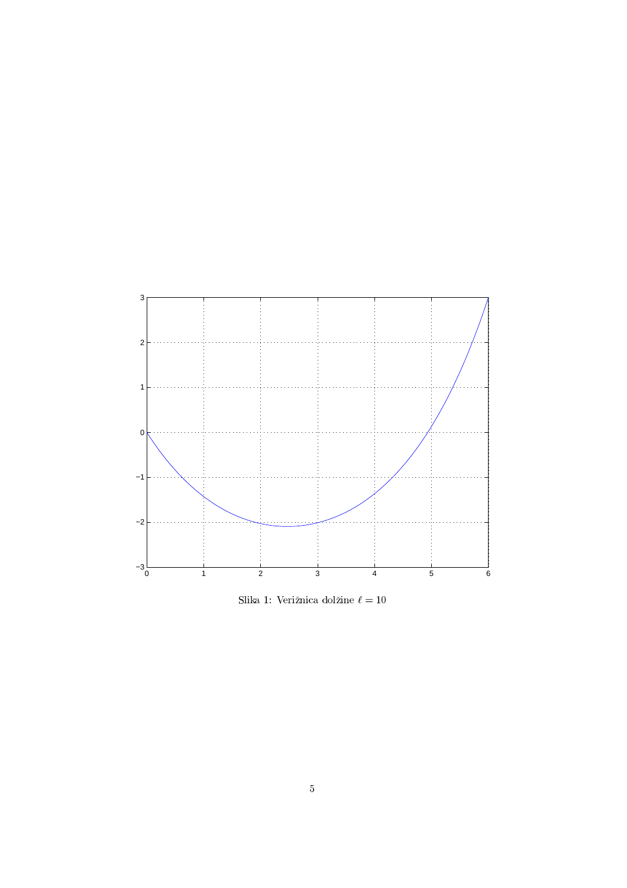

Slika 1: Verižnica dolžine $\ell=10$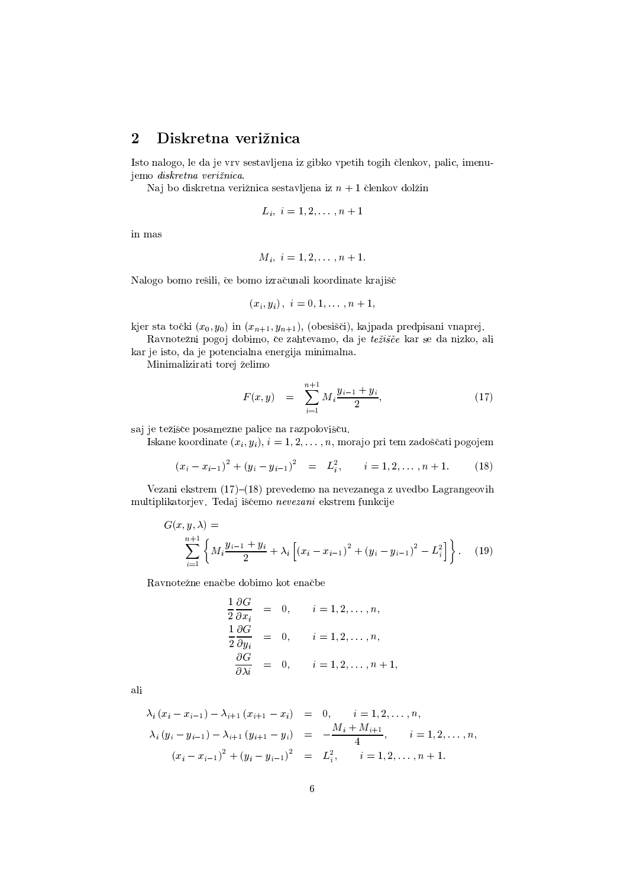#### $\overline{2}$ Diskretna verižnica

Isto nalogo, le da je vrv sestavljena iz gibko vpetih togih členkov, palic, imenujemo diskretna verižnica.

Naj bo diskretna verižnica sestavljena iz  $n + 1$  členkov dolžin

$$
L_i, i = 1, 2, \ldots, n+1
$$

in mas

$$
M_i, i = 1, 2, \ldots, n+1.
$$

Nalogo bomo rešili, če bomo izračunali koordinate krajišč

$$
(x_i, y_i), i = 0, 1, \ldots, n+1,
$$

kjer sta točki  $(x_0, y_0)$  in  $(x_{n+1}, y_{n+1})$ , (obesišči), kajpada predpisani vnaprej.

Ravnotežni pogoj dobimo, če zahtevamo, da je težišče kar se da nizko, ali kar je isto, da je potencialna energija minimalna.

Minimalizirati torej želimo

$$
F(x,y) = \sum_{i=1}^{n+1} M_i \frac{y_{i-1} + y_i}{2}, \qquad (17)
$$

saj je težišče posamezne palice na razpolovišču.

Iskane koordinate  $(x_i, y_i)$ ,  $i = 1, 2, ..., n$ , morajo pri tem zadoščati pogojem

$$
(x_i - x_{i-1})^2 + (y_i - y_{i-1})^2 = L_i^2, \qquad i = 1, 2, \dots, n+1.
$$
 (18)

Vezani ekstrem (17)-(18) prevedemo na nevezanega z uvedbo Lagrangeovih multiplikatorjev. Tedaj iščemo nevezani ekstrem funkcije

$$
G(x, y, \lambda) = \sum_{i=1}^{n+1} \left\{ M_i \frac{y_{i-1} + y_i}{2} + \lambda_i \left[ (x_i - x_{i-1})^2 + (y_i - y_{i-1})^2 - L_i^2 \right] \right\}.
$$
 (19)

Ravnotežne enačbe dobimo kot enačbe

$$
\frac{1}{2} \frac{\partial G}{\partial x_i} = 0, \qquad i = 1, 2, \dots, n,
$$
  

$$
\frac{1}{2} \frac{\partial G}{\partial y_i} = 0, \qquad i = 1, 2, \dots, n,
$$
  

$$
\frac{\partial G}{\partial \lambda_i} = 0, \qquad i = 1, 2, \dots, n+1,
$$

$$
\lambda_i (x_i - x_{i-1}) - \lambda_{i+1} (x_{i+1} - x_i) = 0, \quad i = 1, 2, ..., n,
$$
  

$$
\lambda_i (y_i - y_{i-1}) - \lambda_{i+1} (y_{i+1} - y_i) = -\frac{M_i + M_{i+1}}{4}, \quad i = 1, 2, ..., n,
$$
  

$$
(x_i - x_{i-1})^2 + (y_i - y_{i-1})^2 = L_i^2, \quad i = 1, 2, ..., n + 1.
$$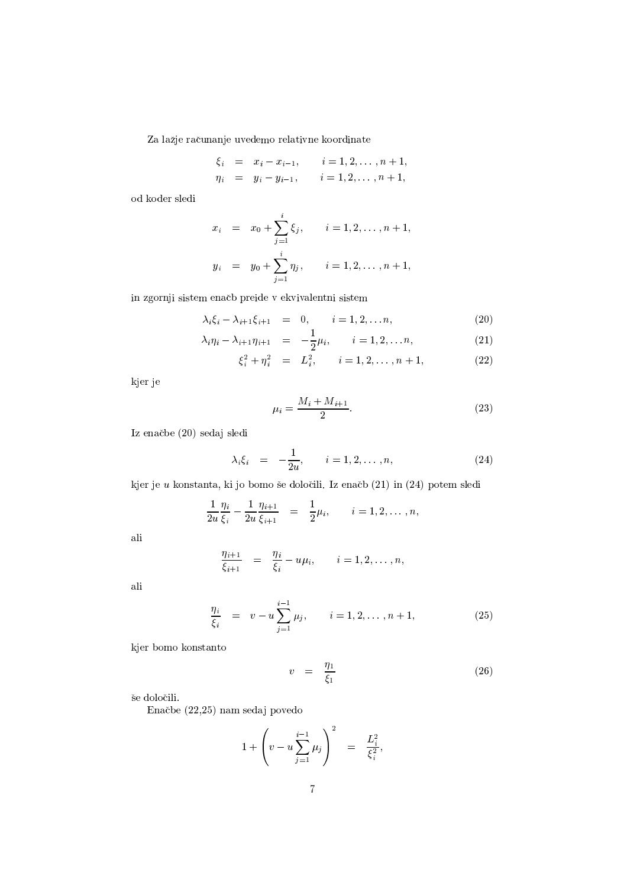Za lažje računanje uvedemo relativne koordinate

$$
\begin{array}{rcl}\n\xi_i & = & x_i - x_{i-1}, \qquad i = 1, 2, \dots, n+1, \\
\eta_i & = & y_i - y_{i-1}, \qquad i = 1, 2, \dots, n+1,\n\end{array}
$$

 $\rm od$ koder sledi

$$
x_i = x_0 + \sum_{j=1}^i \xi_j, \qquad i = 1, 2, \dots, n+1,
$$
  

$$
y_i = y_0 + \sum_{j=1}^i \eta_j, \qquad i = 1, 2, \dots, n+1,
$$

in zgornji sistem enačb preide v ekvivalentni sistem

$$
\lambda_i \xi_i - \lambda_{i+1} \xi_{i+1} = 0, \qquad i = 1, 2, \dots n,
$$
 (20)

$$
\lambda_i \eta_i - \lambda_{i+1} \eta_{i+1} = -\frac{1}{2} \mu_i, \qquad i = 1, 2, \dots n,
$$
 (21)

$$
\xi_i^2 + \eta_i^2 = L_i^2, \qquad i = 1, 2, \dots, n+1,
$$
 (22)

kjer je

$$
\mu_i = \frac{M_i + M_{i+1}}{2}.\tag{23}
$$

Iz enačbe (20) sedaj sledi

$$
\lambda_i \xi_i = -\frac{1}{2u}, \qquad i = 1, 2, \dots, n,
$$
\n(24)

kjer je  $u$  konstanta, ki jo bomo še določili. Iz enačb $(21)$  in  $(24)$  potem sledi

$$
\frac{1}{2u}\frac{\eta_i}{\xi_i} - \frac{1}{2u}\frac{\eta_{i+1}}{\xi_{i+1}} = \frac{1}{2}\mu_i, \qquad i = 1, 2, \dots, n,
$$

ali

$$
\frac{\eta_{i+1}}{\xi_{i+1}} = \frac{\eta_i}{\xi_i} - u\mu_i, \qquad i = 1, 2, \ldots, n,
$$

ali

$$
\frac{\eta_i}{\xi_i} = v - u \sum_{j=1}^{i-1} \mu_j, \qquad i = 1, 2, \dots, n+1,
$$
\n(25)

kjer bomo konstanto

$$
v = \frac{\eta_1}{\xi_1} \tag{26}
$$

še določili.

Enačbe (22,25) nam sedaj povedo

$$
1 + \left(v - u \sum_{j=1}^{i-1} \mu_j\right)^2 = \frac{L_i^2}{\xi_i^2},
$$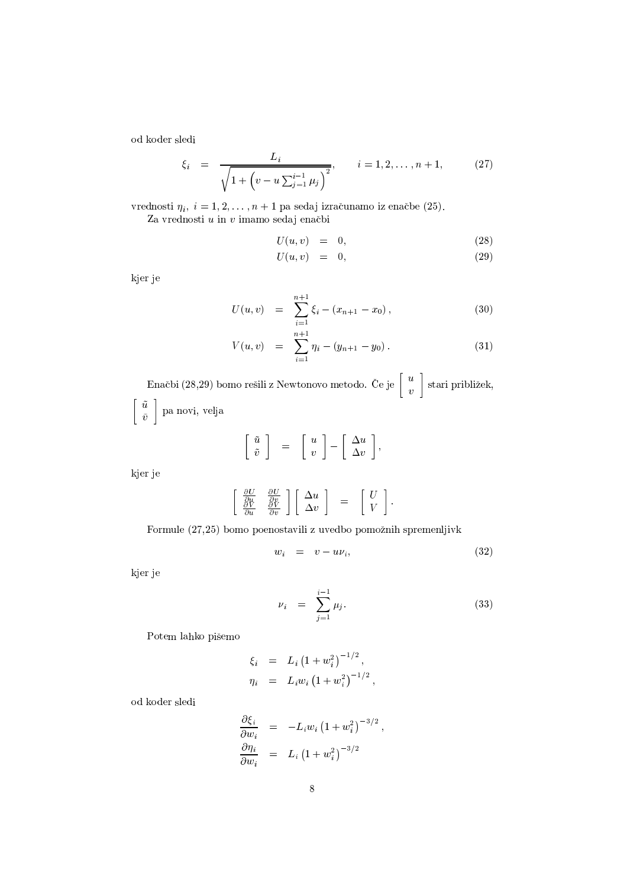od koder sledi

$$
\xi_i = \frac{L_i}{\sqrt{1 + \left(v - u \sum_{j=1}^{i-1} \mu_j\right)^2}}, \qquad i = 1, 2, \dots, n+1,
$$
 (27)

 $B_{\text{model}}$   $\alpha = 1.9$   $\alpha = 1$  no sadai intervisionale anočka  $\left(95\right)$  $\overline{\mathbf{B}}$  in the  $\overline{\mathbf{B}}$  in the  $\overline{\mathbf{B}}$ 

$$
U(u,v) = 0, \t(28)
$$

$$
U(u, v) = 0, \t(29)
$$

kjer je

$$
U(u,v) = \sum_{i=1}^{n+1} \xi_i - (x_{n+1} - x_0), \qquad (30)
$$

$$
V(u,v) = \sum_{i=1}^{n+1} \eta_i - (y_{n+1} - y_0). \tag{31}
$$

 $\mathbb{R}_{n}$ ,  $\mathbb{R}^{k}$ , (90,90)  $\mathbb{R}_{n}$  , such  $\mathbb{R}^{k}$  ,  $\mathbb{R}_{n}$  , tends on the  $\mathbb{R}_{n}$  ,  $\mathbb{R}^{k}$  ,  $\mathbb{R}^{k}$  ,  $\mathbb{R}^{k}$  ,  $\mathbb{R}^{k}$  ,  $\mathbb{R}^{k}$  ,  $\mathbb{R}^{k}$  ,  $\mathbb{R}^{k}$  $\mathbb{R}$ :  $\mathbb{R}$  stari priblizek,  $|u|$  $\tilde{\tilde{v}}$  | pa novi, velja

$$
\left[\begin{array}{c}\tilde{u} \\ \tilde{v}\end{array}\right] = \left[\begin{array}{c}u \\ v\end{array}\right] - \left[\begin{array}{c}\Delta u \\ \Delta v\end{array}\right],
$$

kjer je

$$
\left[\begin{array}{cc} \frac{\partial U}{\partial u} & \frac{\partial U}{\partial v} \\ \frac{\partial V}{\partial u} & \frac{\partial V}{\partial v} \end{array}\right] \left[\begin{array}{c} \Delta u \\ \Delta v \end{array}\right] \;\;=\;\; \left[\begin{array}{c} U \\ V \end{array}\right].
$$

 $\Gamma$ enmule  $(97.95)$  keme neeneste $\ddots$ ii = uvedke nemežuik spremenlij $\ddots$ l.

$$
w_i = v - u\nu_i, \t\t(32)
$$

kjer je

$$
\nu_i = \sum_{j=1}^{i-1} \mu_j. \tag{33}
$$

Potem lahko pišemo

$$
\xi_i = L_i (1 + w_i^2)^{-1/2},
$$
  
\n
$$
\eta_i = L_i w_i (1 + w_i^2)^{-1/2},
$$

od koder sledi

$$
\frac{\partial \xi_i}{\partial w_i} = -L_i w_i \left(1 + w_i^2\right)^{-3/2},
$$
  

$$
\frac{\partial \eta_i}{\partial w_i} = L_i \left(1 + w_i^2\right)^{-3/2}
$$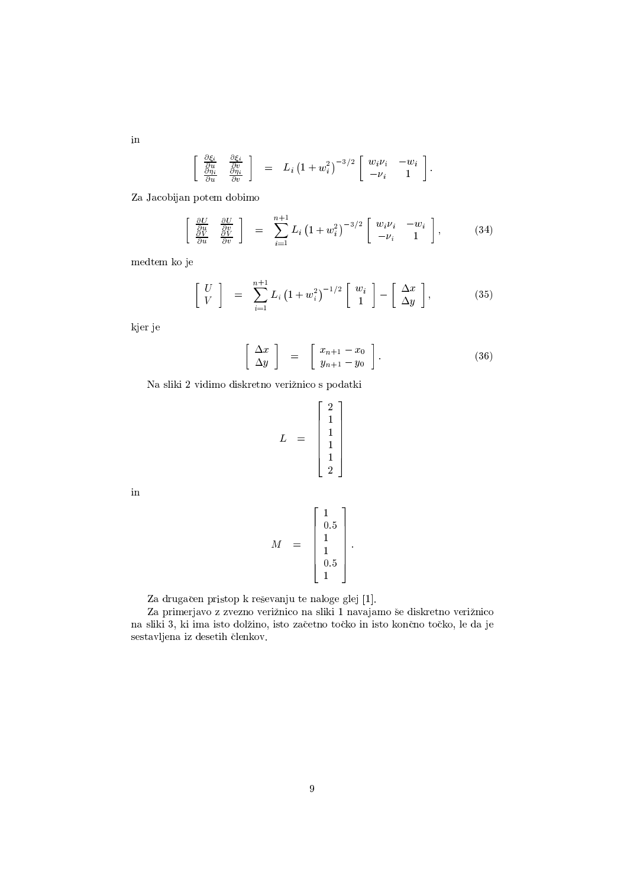$$
\begin{array}{cc} \frac{\partial \xi_i}{\partial u} & \frac{\partial \xi_i}{\partial v} \\ \frac{\partial \eta_i}{\partial u} & \frac{\partial \eta_i}{\partial v} \end{array} \bigg] \quad = \quad L_i \left( 1 + w_i^2 \right)^{-3/2} \left[ \begin{array}{cc} w_i \nu_i & -w_i \\ -\nu_i & 1 \end{array} \right].
$$

Za Jacobijan potem dobimo

$$
\left[\begin{array}{cc} \frac{\partial U}{\partial u} & \frac{\partial U}{\partial v} \\ \frac{\partial V}{\partial u} & \frac{\partial V}{\partial v} \end{array}\right] = \sum_{i=1}^{n+1} L_i \left(1 + w_i^2\right)^{-3/2} \left[\begin{array}{cc} w_i \nu_i & -w_i \\ -\nu_i & 1 \end{array}\right],\tag{34}
$$

medtem ko je

$$
\left[\begin{array}{c} U \\ V \end{array}\right] = \sum_{i=1}^{n+1} L_i \left(1 + w_i^2\right)^{-1/2} \left[\begin{array}{c} w_i \\ 1 \end{array}\right] - \left[\begin{array}{c} \Delta x \\ \Delta y \end{array}\right],\tag{35}
$$

kjer je

$$
\left[\begin{array}{c}\Delta x\\ \Delta y\end{array}\right] = \left[\begin{array}{c}x_{n+1} - x_0\\ y_{n+1} - y_0\end{array}\right].
$$
 (36)

Na sliki 2 vidimo diskretno verižnico s podatki

$$
L = \begin{bmatrix} 2 \\ 1 \\ 1 \\ 1 \\ 1 \\ 2 \end{bmatrix}
$$

 $\operatorname{in}$ 

$$
M = \begin{bmatrix} 1 \\ 0.5 \\ 1 \\ 1 \\ 0.5 \\ 1 \end{bmatrix}.
$$

Za drugačen pristop k reševanju te naloge glej [1].

Za primerjavo z zvezno verižnico na sliki 1 navajamo še diskretno verižnico na sliki 3, ki ima isto dolžino, isto začetno točko in isto končno točko, le da je  $\operatorname{sestar}$ ljena iz $\operatorname{desetih}$ členkov.

in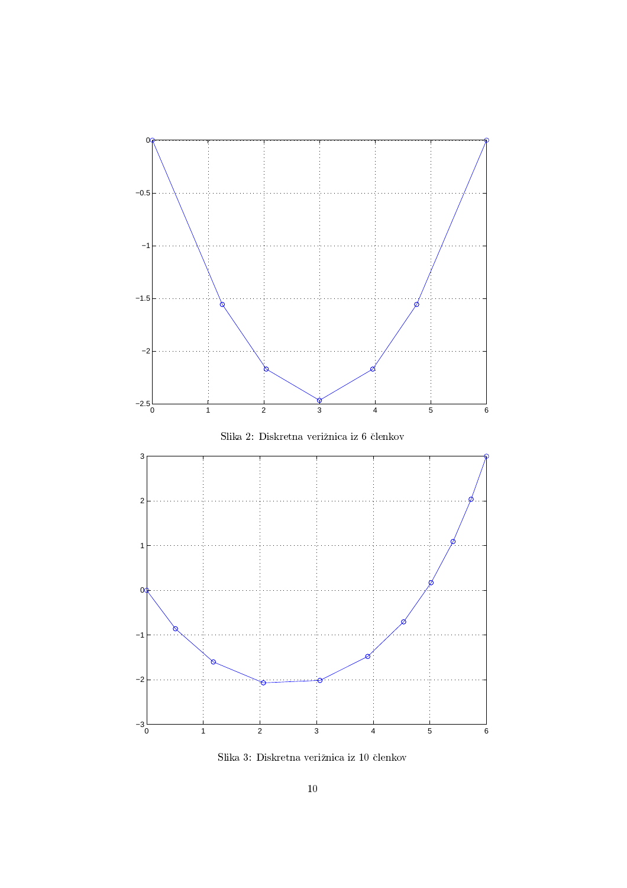

 $S$ lika $3:$ Diskretna verižnica iz  $10$ členkov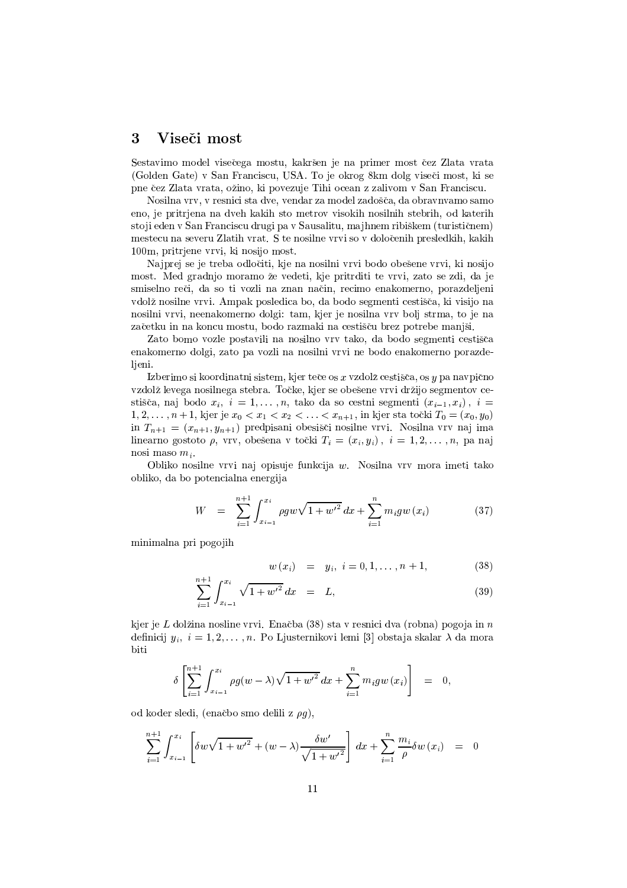#### 3 Viseči most

Sestavimo model visečega mostu, kakršen je na primer most čez Zlata vrata (Golden Gate) v San Franciscu, USA. To je okrog 8km dolg viseči most, ki se pne čez Zlata vrata, ožino, ki povezuje Tihi ocean z zalivom v San Franciscu.

Nosilna vrv, v resnici sta dve, vendar za model zadošča, da obravnvamo samo eno, je pritrjena na dveh kakih sto metrov visokih nosilnih stebrih, od katerih stoji eden v San Franciscu drugi pa v Sausalitu, majhnem ribiškem (turističnem) mestecu na severu Zlatih vrat. S te nosilne vrvi so v določenih presledkih, kakih 100m, pritrjene vrvi, ki nosijo most.

Najprej se je treba odločiti, kje na nosilni vrvi bodo obešene vrvi, ki nosijo most. Med gradnjo moramo že vedeti, kje pritrditi te vrvi, zato se zdi, da je smiselno reči, da so ti vozli na znan način, recimo enakomerno, porazdeljeni vdolž nosilne vrvi. Ampak posledica bo, da bodo segmenti cestišča, ki visijo na nosilni vrvi, neenakomerno dolgi: tam, kjer je nosilna vrv bolj strma, to je na začetku in na koncu mostu, bodo razmaki na cestišču brez potrebe manjši.

Zato bomo vozle postavili na nosilno vrv tako, da bodo segmenti cestišča enakomerno dolgi, zato pa vozli na nosilni vrvi ne bodo enakomerno porazdelieni.

Izberimo si koordinatni sistem, kjer teče os x vzdolž cestišča, os y pa navpično vzdolž levega nosilnega stebra. Točke, kjer se obešene vrvi držijo segmentov cestišča, naj bodo  $x_i$ ,  $i = 1, ..., n$ , tako da so cestni segmenti  $(x_{i-1}, x_i)$ ,  $i =$  $1, 2, \ldots, n+1$ , kjer je  $x_0 < x_1 < x_2 < \ldots < x_{n+1}$ , in kjer sta točki  $T_0 = (x_0, y_0)$ in  $T_{n+1} = (x_{n+1}, y_{n+1})$  predpisani obesišči nosilne vrvi. Nosilna vrv naj ima linearno gostoto  $\rho$ , vrv, obešena v točki  $T_i = (x_i, y_i), i = 1, 2, ..., n$ , pa naj nosi maso  $m_i$ .

Obliko nosilne vrvi naj opisuje funkcija w. Nosilna vrv mora imeti tako obliko, da bo potencialna energija

$$
W = \sum_{i=1}^{n+1} \int_{x_{i-1}}^{x_i} \rho g w \sqrt{1 + w'^2} \, dx + \sum_{i=1}^n m_i g w(x_i) \tag{37}
$$

minimalna pri pogojih

$$
w(x_i) = y_i, i = 0, 1, ..., n + 1,
$$
 (38)

$$
\sum_{i=1}^{n+1} \int_{x_{i-1}}^{x_i} \sqrt{1 + w'^2} \, dx = L,\tag{39}
$$

kjer je L dolžina nosline vrvi. Enačba (38) sta v resnici dva (robna) pogoja in n definicij  $y_i$ ,  $i = 1, 2, ..., n$ . Po Ljusternikovi lemi [3] obstaja skalar  $\lambda$  da mora biti

$$
\delta \left[ \sum_{i=1}^{n+1} \int_{x_{i-1}}^{x_i} \rho g(w - \lambda) \sqrt{1 + {w'}^2} \, dx + \sum_{i=1}^n m_i g w(x_i) \right] = 0,
$$

od koder sledi, (enačbo smo delili z  $\rho q$ ),

$$
\sum_{i=1}^{n+1} \int_{x_{i-1}}^{x_i} \left[ \delta w \sqrt{1 + w'^2} + (w - \lambda) \frac{\delta w'}{\sqrt{1 + w'^2}} \right] dx + \sum_{i=1}^{n} \frac{m_i}{\rho} \delta w(x_i) = 0
$$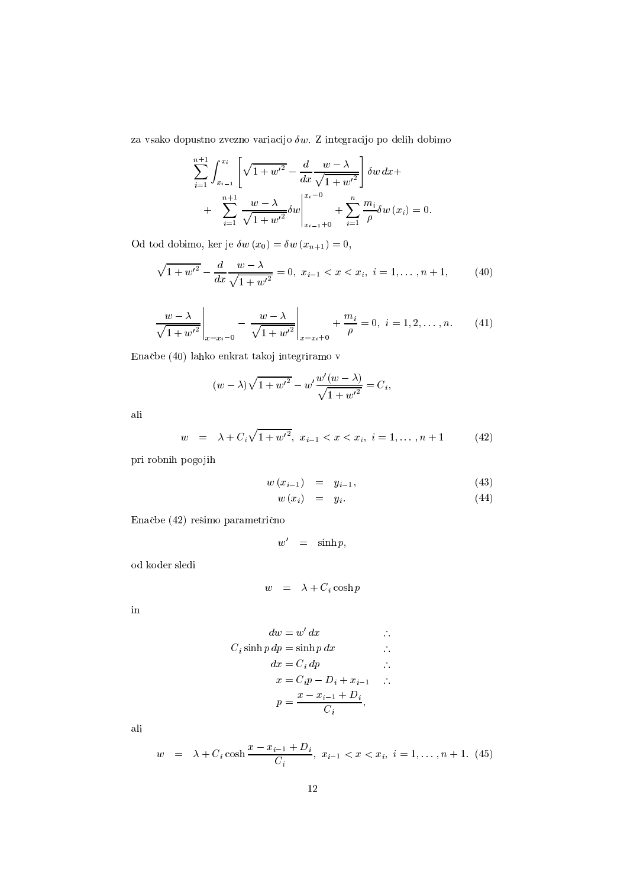za vsako dopustno zvezno variacijo $\delta w.$  Z integracijo po delih dobimo

$$
\sum_{i=1}^{n+1} \int_{x_{i-1}}^{x_i} \left[ \sqrt{1 + w'^2} - \frac{d}{dx} \frac{w - \lambda}{\sqrt{1 + w'^2}} \right] \delta w \, dx +
$$
  
+ 
$$
\sum_{i=1}^{n+1} \frac{w - \lambda}{\sqrt{1 + w'^2}} \delta w \Big|_{x_{i-1} + 0}^{x_i - 0} + \sum_{i=1}^{n} \frac{m_i}{\rho} \delta w \left( x_i \right) = 0.
$$

Od tod dobimo, ker je  $\delta w(x_0) = \delta w(x_{n+1}) = 0$ ,

$$
\sqrt{1 + w'^2} - \frac{d}{dx} \frac{w - \lambda}{\sqrt{1 + w'^2}} = 0, \ x_{i-1} < x < x_i, \ i = 1, \dots, n + 1,\tag{40}
$$

$$
\left. \frac{w - \lambda}{\sqrt{1 + w'^2}} \right|_{x = x_i - 0} - \left. \frac{w - \lambda}{\sqrt{1 + w'^2}} \right|_{x = x_i + 0} + \frac{m_i}{\rho} = 0, \ i = 1, 2, \dots, n. \tag{41}
$$

Enačbe (40) lahko enkrat takoj integriramo v

$$
(w - \lambda)\sqrt{1 + w'^2} - w'\frac{w'(w - \lambda)}{\sqrt{1 + w'^2}} = C_i,
$$

ali

$$
w = \lambda + C_i \sqrt{1 + w'^2}, \ x_{i-1} < x < x_i, \ i = 1, \dots, n + 1 \tag{42}
$$

pri robnih pogojih

$$
w(x_{i-1}) = y_{i-1}, \t\t(43)
$$
  
\n
$$
w(x_{i-1}) = y_{i} \t\t(44)
$$

$$
w(x_i) = y_i. \tag{44}
$$

Enačbe (42) rešimo parametrično

$$
w' = \sinh p,
$$

 $\rm od$ koder $\rm sledi$ 

$$
w = \lambda + C_i \cosh p
$$

 $\operatorname{in}$ 

$$
dw = w' dx
$$
  
\n
$$
C_i \sinh p dp = \sinh p dx
$$
  
\n
$$
dx = C_i dp
$$
  
\n
$$
x = C_i p - D_i + x_{i-1}
$$
  
\n
$$
p = \frac{x - x_{i-1} + D_i}{C_i},
$$

$$
w = \lambda + C_i \cosh \frac{x - x_{i-1} + D_i}{C_i}, \ x_{i-1} < x < x_i, \ i = 1, \dots, n+1. \tag{45}
$$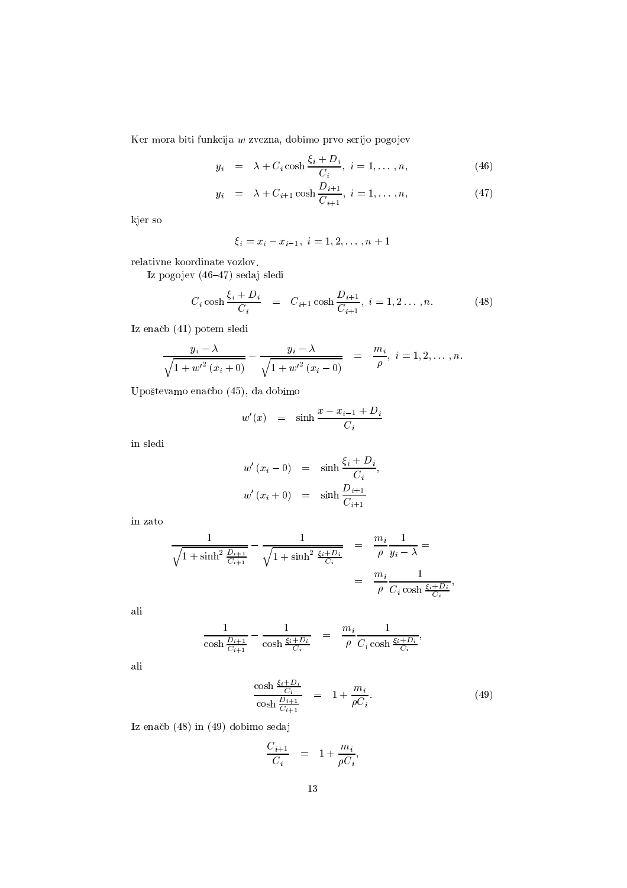Ker mora biti funkcija $\boldsymbol{w}$ zvezna, dobimo prvo serijo pogojev

$$
y_i = \lambda + C_i \cosh \frac{\xi_i + D_i}{C_i}, \quad i = 1, \dots, n,\tag{46}
$$

$$
y_i = \lambda + C_{i+1} \cosh \frac{D_{i+1}}{C_{i+1}}, \quad i = 1, \dots, n,
$$
 (47)

kjer so

$$
\xi_i = x_i - x_{i-1}, \ i = 1, 2, \ldots, n+1
$$

relativne koordinate vozlov.

 $\rm I$ z nogojev (46–47) sedai sledi

$$
C_i \cosh \frac{\xi_i + D_i}{C_i} = C_{i+1} \cosh \frac{D_{i+1}}{C_{i+1}}, \quad i = 1, 2, ..., n. \tag{48}
$$

Iz enačb (41) potem sledi

$$
\frac{y_i - \lambda}{\sqrt{1 + {w'}^2(x_i + 0)}} - \frac{y_i - \lambda}{\sqrt{1 + {w'}^2(x_i - 0)}} = \frac{m_i}{\rho}, \ i = 1, 2, \dots, n.
$$

Upoštevamo enačbo (45), da dobimo

$$
w'(x) = \sinh \frac{x - x_{i-1} + D_i}{C_i}
$$

in sledi

$$
w'(x_i - 0) = \sinh \frac{\xi_i + D_i}{C_i},
$$
  

$$
w'(x_i + 0) = \sinh \frac{D_{i+1}}{C_{i+1}}
$$

in zato

$$
\frac{1}{\sqrt{1+\sinh^2 \frac{D_{i+1}}{C_{i+1}}}} - \frac{1}{\sqrt{1+\sinh^2 \frac{\xi_i+D_i}{C_i}}} = \frac{m_i}{\rho} \frac{1}{y_i - \lambda} =
$$
  
= 
$$
\frac{m_i}{\rho} \frac{1}{C_i \cosh \frac{\xi_i+D_i}{C_i}},
$$

ali

$$
\frac{1}{\cosh \frac{D_{i+1}}{C_{i+1}}} - \frac{1}{\cosh \frac{\xi_i + D_i}{C_i}} = \frac{m_i}{\rho} \frac{1}{C_i \cosh \frac{\xi_i + D_i}{C_i}},
$$

ali

$$
\frac{\cosh \frac{\xi_i + D_i}{C_i}}{\cosh \frac{D_{i+1}}{C_{i+1}}} = 1 + \frac{m_i}{\rho C_i}.
$$
\n(49)

Iz enačb (48) in (49) dobimo sedaj

$$
\frac{C_{i+1}}{C_i} = 1 + \frac{m_i}{\rho C_i},
$$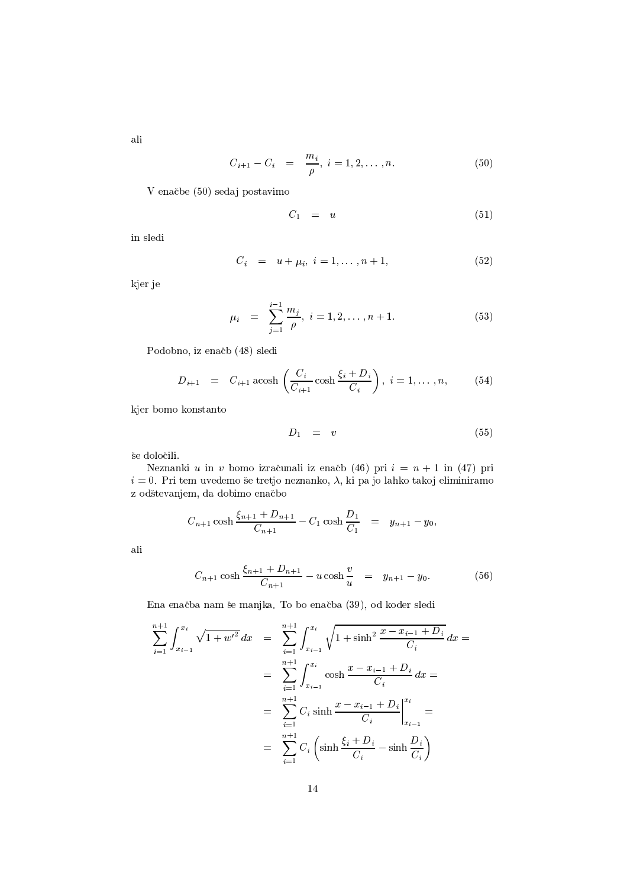ali

$$
C_{i+1} - C_i = \frac{m_i}{\rho}, \ i = 1, 2, \dots, n. \tag{50}
$$

V enačbe (50) sedaj postavimo

$$
C_1 = u \tag{51}
$$

in sledi

$$
C_i = u + \mu_i, \ i = 1, \dots, n + 1,
$$
 (52)

kjer je

$$
\mu_i = \sum_{j=1}^{i-1} \frac{m_j}{\rho}, \ i = 1, 2, \dots, n+1. \tag{53}
$$

Podobno, iz enačb (48) sledi

$$
D_{i+1} = C_{i+1} \operatorname{acosh} \left( \frac{C_i}{C_{i+1}} \cosh \frac{\xi_i + D_i}{C_i} \right), \ i = 1, \dots, n, \tag{54}
$$

kjer bomo konstanto

$$
D_1 = v \tag{55}
$$

še določili.

Neznanki u in v bomo izračunali iz enačb (46) pri  $i = n + 1$  in (47) pri  $i=0$ . Pri tem uvedemo še tretjo neznanko,  $\lambda$ , ki pa jo lahko takoj eliminiramo z odštevanjem, da dobimo enačbo

$$
C_{n+1}\cosh\frac{\xi_{n+1}+D_{n+1}}{C_{n+1}}-C_1\cosh\frac{D_1}{C_1} = y_{n+1}-y_0,
$$

ali

$$
C_{n+1}\cosh\frac{\xi_{n+1}+D_{n+1}}{C_{n+1}}-u\cosh\frac{v}{u} = y_{n+1}-y_0.
$$
 (56)

Ena enačba nam še manjka. To bo enačba (39), od koder sledi

$$
\sum_{i=1}^{n+1} \int_{x_{i-1}}^{x_i} \sqrt{1 + w'^2} \, dx = \sum_{i=1}^{n+1} \int_{x_{i-1}}^{x_i} \sqrt{1 + \sinh^2 \frac{x - x_{i-1} + D_i}{C_i}} \, dx =
$$
\n
$$
= \sum_{i=1}^{n+1} \int_{x_{i-1}}^{x_i} \cosh \frac{x - x_{i-1} + D_i}{C_i} \, dx =
$$
\n
$$
= \sum_{i=1}^{n+1} C_i \sinh \frac{x - x_{i-1} + D_i}{C_i} \Big|_{x_{i-1}}^{x_i} =
$$
\n
$$
= \sum_{i=1}^{n+1} C_i \left( \sinh \frac{\xi_i + D_i}{C_i} - \sinh \frac{D_i}{C_i} \right)
$$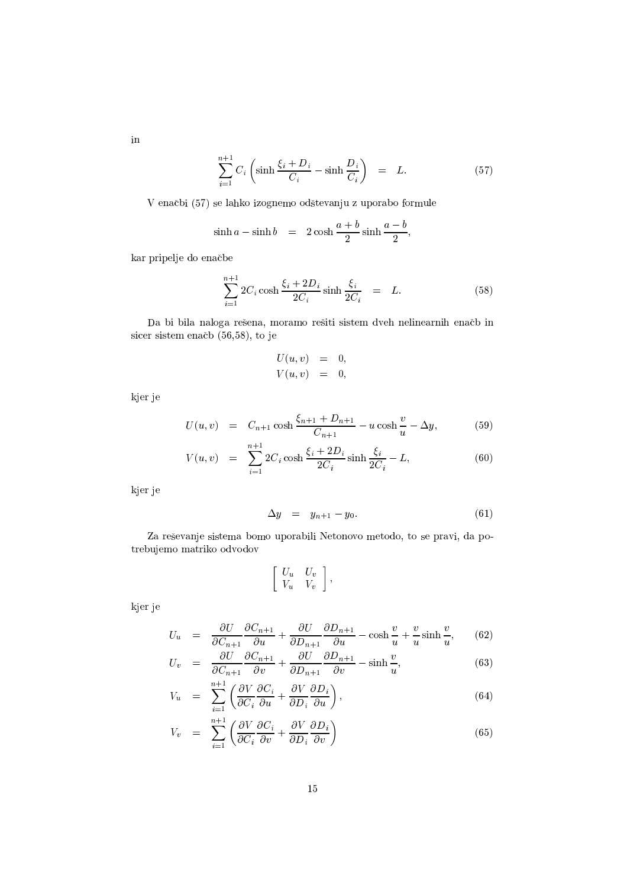$$
\sum_{i=1}^{n+1} C_i \left( \sinh \frac{\xi_i + D_i}{C_i} - \sinh \frac{D_i}{C_i} \right) = L. \tag{57}
$$

V enačbi (57) se lahko izognemo odštevanju z uporabo formule

$$
\sinh a - \sinh b = 2\cosh\frac{a+b}{2}\sinh\frac{a-b}{2},
$$

kar pripelje do enačbe

$$
\sum_{i=1}^{n+1} 2C_i \cosh \frac{\xi_i + 2D_i}{2C_i} \sinh \frac{\xi_i}{2C_i} = L.
$$
 (58)

Da bi bila naloga rešena, moramo rešiti sistem dveh nelinearnih enačb in sicer sistem enačb (56,58), to je

$$
U(u, v) = 0,
$$
  

$$
V(u, v) = 0,
$$

kjer je

$$
U(u, v) = C_{n+1} \cosh \frac{\xi_{n+1} + D_{n+1}}{C_{n+1}} - u \cosh \frac{v}{u} - \Delta y,
$$
 (59)

$$
V(u, v) = \sum_{i=1}^{n+1} 2C_i \cosh \frac{\xi_i + 2D_i}{2C_i} \sinh \frac{\xi_i}{2C_i} - L,
$$
 (60)

kjer je

$$
\Delta y = y_{n+1} - y_0. \tag{61}
$$

Za reševanje sistema bomo uporabili Netonovo metodo, to se pravi, da potrebujemo matriko odvodov

$$
\left[\begin{array}{cc} U_u & U_v \\ V_u & V_v \end{array}\right],
$$

kjer je

$$
U_u = \frac{\partial U}{\partial C_{n+1}} \frac{\partial C_{n+1}}{\partial u} + \frac{\partial U}{\partial D_{n+1}} \frac{\partial D_{n+1}}{\partial u} - \cosh \frac{v}{u} + \frac{v}{u} \sinh \frac{v}{u}, \qquad (62)
$$

$$
U_v = \frac{\partial U}{\partial C_{n+1}} \frac{\partial C_{n+1}}{\partial v} + \frac{\partial U}{\partial D_{n+1}} \frac{\partial D_{n+1}}{\partial v} - \sinh \frac{v}{u}, \tag{63}
$$

$$
V_u = \sum_{i=1}^{n+1} \left( \frac{\partial V}{\partial C_i} \frac{\partial C_i}{\partial u} + \frac{\partial V}{\partial D_i} \frac{\partial D_i}{\partial u} \right), \tag{64}
$$

$$
V_v = \sum_{i=1}^{n+1} \left( \frac{\partial V}{\partial C_i} \frac{\partial C_i}{\partial v} + \frac{\partial V}{\partial D_i} \frac{\partial D_i}{\partial v} \right)
$$
(65)

 $\,$  in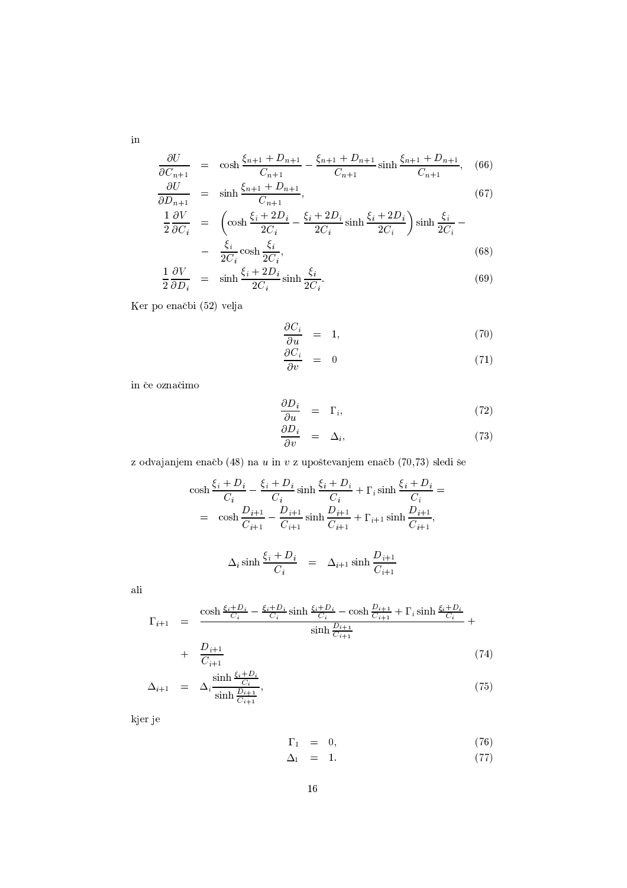$$
\frac{\partial U}{C_{n+1}} = \cosh \frac{\xi_{n+1} + D_{n+1}}{C_{n+1}} - \frac{\xi_{n+1} + D_{n+1}}{C_{n+1}} \sinh \frac{\xi_{n+1} + D_{n+1}}{C_{n+1}}, \quad (66)
$$

$$
\frac{\partial U}{\partial D_{n+1}} = \sinh \frac{\xi_{n+1} + D_{n+1}}{C_{n+1}},
$$
\n(67)

$$
\frac{1}{2} \frac{\partial V}{\partial C_i} = \left( \cosh \frac{\xi_i + 2D_i}{2C_i} - \frac{\xi_i + 2D_i}{2C_i} \sinh \frac{\xi_i + 2D_i}{2C_i} \right) \sinh \frac{\xi_i}{2C_i} - \frac{\xi_i}{2C_i} \cosh \frac{\xi_i}{2C_i},\tag{68}
$$

$$
\frac{1}{2} \frac{\partial V}{\partial D_i} = \sinh \frac{\xi_i + 2D_i}{2C_i} \sinh \frac{\xi_i}{2C_i}.
$$
\n(69)

Ker po enačbi (52) velja

$$
\frac{\partial C_i}{\partial u} = 1, \tag{70}
$$

$$
\frac{\partial C_i}{\partial v} = 0 \tag{71}
$$

in če označimo

$$
\frac{\partial D_i}{\partial u} = \Gamma_i, \tag{72}
$$

$$
\frac{\partial D_i}{\partial v} = \Delta_i, \tag{73}
$$

 $\mathbf{P} = \mathbf{P} \cdot \mathbf{P}$  , and  $\mathbf{P} = \mathbf{P} \cdot \mathbf{P}$  , and  $\mathbf{P} = \mathbf{P} \cdot \mathbf{P}$  , and  $\mathbf{P} = \mathbf{P} \cdot \mathbf{P}$  , and  $\mathbf{P} = \mathbf{P} \cdot \mathbf{P}$  , and  $\mathbf{P} = \mathbf{P} \cdot \mathbf{P} \cdot \mathbf{P}$  , and  $\mathbf{P} = \mathbf{P} \cdot \mathbf{P} \cdot \mathbf{P} \cdot \$ 

$$
\cosh \frac{\xi_i + D_i}{C_i} - \frac{\xi_i + D_i}{C_i} \sinh \frac{\xi_i + D_i}{C_i} + \Gamma_i \sinh \frac{\xi_i + D_i}{C_i} =
$$
  
= 
$$
\cosh \frac{D_{i+1}}{C_{i+1}} - \frac{D_{i+1}}{C_{i+1}} \sinh \frac{D_{i+1}}{C_{i+1}} + \Gamma_{i+1} \sinh \frac{D_{i+1}}{C_{i+1}},
$$
  

$$
\Delta_i \sinh \frac{\xi_i + D_i}{C_i} = \Delta_{i+1} \sinh \frac{D_{i+1}}{C_{i+1}}
$$

 $\operatorname{ali}$ 

$$
\Gamma_{i+1} = \frac{\cosh \frac{\xi_i + D_i}{C_i} - \frac{\xi_i + D_i}{C_i} \sinh \frac{\xi_i + D_i}{C_i} - \cosh \frac{D_{i+1}}{C_{i+1}} + \Gamma_i \sinh \frac{\xi_i + D_i}{C_i}}{\sinh \frac{D_{i+1}}{C_{i+1}}} + \frac{D_{i+1}}{\cosh \frac{D_{i+1}}{C_{i+1}}} \tag{5.1}
$$

$$
+\frac{D_{i+1}}{C_{i+1}}\tag{74}
$$
\n
$$
\sinh\frac{\xi_i+D_i}{C}
$$

$$
\Delta_{i+1} = \Delta_i \frac{\sinh \frac{\Sigma_i - \Sigma_i}{C_i}}{\sinh \frac{D_{i+1}}{C_{i+1}}},\tag{75}
$$

kjer je

$$
\Gamma_1 = 0, \tag{76}
$$

$$
\Delta_1 = 1. \tag{77}
$$

 $\,$  in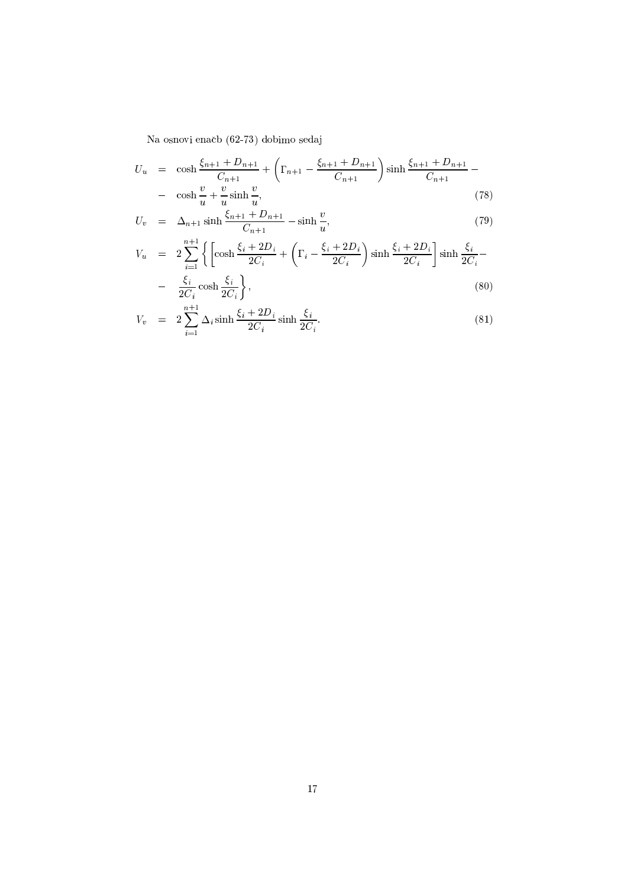$\text{Na}$  osnovi onačb $(69, 73)$  dobimo sodaj

$$
U_u = \cosh \frac{\xi_{n+1} + D_{n+1}}{C_{n+1}} + \left(\Gamma_{n+1} - \frac{\xi_{n+1} + D_{n+1}}{C_{n+1}}\right) \sinh \frac{\xi_{n+1} + D_{n+1}}{C_{n+1}} - \cosh \frac{v}{u} + \frac{v}{u} \sinh \frac{v}{u},\tag{78}
$$

$$
U_v = \Delta_{n+1} \sinh \frac{\xi_{n+1} + D_{n+1}}{C_{n+1}} - \sinh \frac{v}{u},
$$
\n(79)

$$
V_u = 2\sum_{i=1}^{n+1} \left\{ \left[ \cosh \frac{\xi_i + 2D_i}{2C_i} + \left( \Gamma_i - \frac{\xi_i + 2D_i}{2C_i} \right) \sinh \frac{\xi_i + 2D_i}{2C_i} \right] \sinh \frac{\xi_i}{2C_i} - \frac{\xi_i}{2C_i} \cosh \frac{\xi_i}{2C_i} \right\},
$$
\n(80)

$$
V_v = 2 \sum_{i=1}^{n+1} \Delta_i \sinh \frac{\xi_i + 2D_i}{2C_i} \sinh \frac{\xi_i}{2C_i}.
$$
 (81)